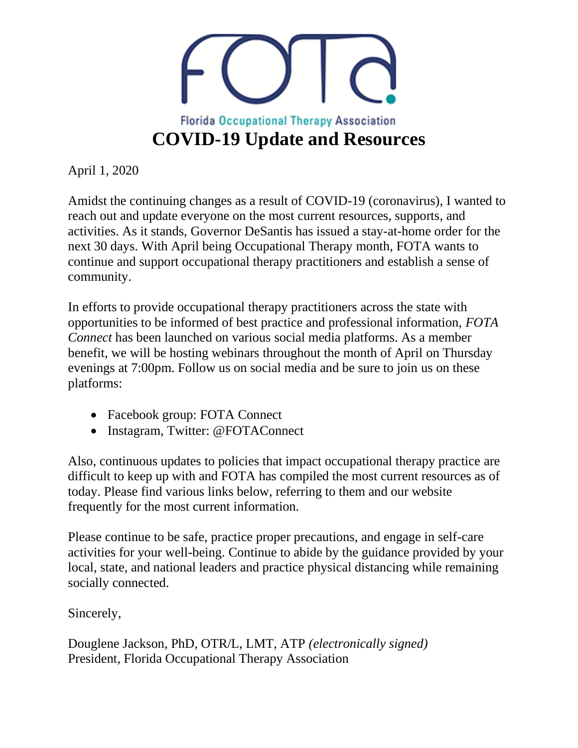

April 1, 2020

Amidst the continuing changes as a result of COVID-19 (coronavirus), I wanted to reach out and update everyone on the most current resources, supports, and activities. As it stands, Governor DeSantis has issued a stay-at-home order for the next 30 days. With April being Occupational Therapy month, FOTA wants to continue and support occupational therapy practitioners and establish a sense of community.

In efforts to provide occupational therapy practitioners across the state with opportunities to be informed of best practice and professional information, *FOTA Connect* has been launched on various social media platforms. As a member benefit, we will be hosting webinars throughout the month of April on Thursday evenings at 7:00pm. Follow us on social media and be sure to join us on these platforms:

- Facebook group: FOTA Connect
- Instagram, Twitter: @FOTAConnect

Also, continuous updates to policies that impact occupational therapy practice are difficult to keep up with and FOTA has compiled the most current resources as of today. Please find various links below, referring to them and our website frequently for the most current information.

Please continue to be safe, practice proper precautions, and engage in self-care activities for your well-being. Continue to abide by the guidance provided by your local, state, and national leaders and practice physical distancing while remaining socially connected.

Sincerely,

Douglene Jackson, PhD, OTR/L, LMT, ATP *(electronically signed)* President*,* Florida Occupational Therapy Association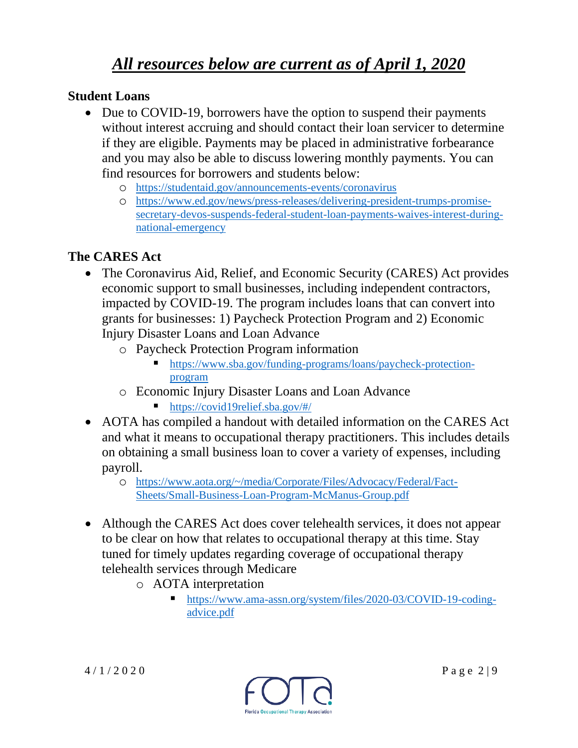# *All resources below are current as of April 1, 2020*

#### **Student Loans**

- Due to COVID-19, borrowers have the option to suspend their payments without interest accruing and should contact their loan servicer to determine if they are eligible. Payments may be placed in administrative forbearance and you may also be able to discuss lowering monthly payments. You can find resources for borrowers and students below:
	- o <https://studentaid.gov/announcements-events/coronavirus>
	- o [https://www.ed.gov/news/press-releases/delivering-president-trumps-promise](https://www.ed.gov/news/press-releases/delivering-president-trumps-promise-secretary-devos-suspends-federal-student-loan-payments-waives-interest-during-national-emergency)[secretary-devos-suspends-federal-student-loan-payments-waives-interest-during](https://www.ed.gov/news/press-releases/delivering-president-trumps-promise-secretary-devos-suspends-federal-student-loan-payments-waives-interest-during-national-emergency)[national-emergency](https://www.ed.gov/news/press-releases/delivering-president-trumps-promise-secretary-devos-suspends-federal-student-loan-payments-waives-interest-during-national-emergency)

#### **The CARES Act**

- The Coronavirus Aid, Relief, and Economic Security (CARES) Act provides economic support to small businesses, including independent contractors, impacted by COVID-19. The program includes loans that can convert into grants for businesses: 1) Paycheck Protection Program and 2) Economic Injury Disaster Loans and Loan Advance
	- o Paycheck Protection Program information
		- [https://www.sba.gov/funding-programs/loans/paycheck-protection](https://www.sba.gov/funding-programs/loans/paycheck-protection-program)[program](https://www.sba.gov/funding-programs/loans/paycheck-protection-program)
	- o Economic Injury Disaster Loans and Loan Advance
		- <https://covid19relief.sba.gov/#/>
- AOTA has compiled a handout with detailed information on the CARES Act and what it means to occupational therapy practitioners. This includes details on obtaining a small business loan to cover a variety of expenses, including payroll.
	- o [https://www.aota.org/~/media/Corporate/Files/Advocacy/Federal/Fact-](https://www.aota.org/~/media/Corporate/Files/Advocacy/Federal/Fact-Sheets/Small-Business-Loan-Program-McManus-Group.pdf)[Sheets/Small-Business-Loan-Program-McManus-Group.pdf](https://www.aota.org/~/media/Corporate/Files/Advocacy/Federal/Fact-Sheets/Small-Business-Loan-Program-McManus-Group.pdf)
- Although the CARES Act does cover telehealth services, it does not appear to be clear on how that relates to occupational therapy at this time. Stay tuned for timely updates regarding coverage of occupational therapy telehealth services through Medicare
	- o AOTA interpretation
		- [https://www.ama-assn.org/system/files/2020-03/COVID-19-coding](https://www.ama-assn.org/system/files/2020-03/covid-19-coding-advice.pdf)[advice.pdf](https://www.ama-assn.org/system/files/2020-03/covid-19-coding-advice.pdf)

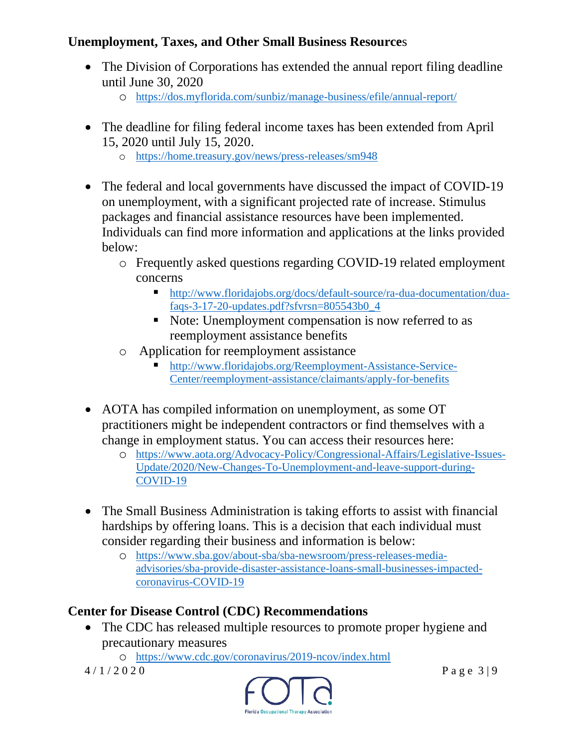## **Unemployment, Taxes, and Other Small Business Resource**s

- The Division of Corporations has extended the annual report filing deadline until June 30, 2020
	- o <https://dos.myflorida.com/sunbiz/manage-business/efile/annual-report/>
- The deadline for filing federal income taxes has been extended from April 15, 2020 until July 15, 2020.
	- o <https://home.treasury.gov/news/press-releases/sm948>
- The federal and local governments have discussed the impact of COVID-19 on unemployment, with a significant projected rate of increase. Stimulus packages and financial assistance resources have been implemented. Individuals can find more information and applications at the links provided below:
	- o Frequently asked questions regarding COVID-19 related employment concerns
		- [http://www.floridajobs.org/docs/default-source/ra-dua-documentation/dua](http://www.floridajobs.org/docs/default-source/ra-dua-documentation/dua-faqs-3-17-20-updates.pdf?sfvrsn=805543b0_4)[faqs-3-17-20-updates.pdf?sfvrsn=805543b0\\_4](http://www.floridajobs.org/docs/default-source/ra-dua-documentation/dua-faqs-3-17-20-updates.pdf?sfvrsn=805543b0_4)
		- Note: Unemployment compensation is now referred to as reemployment assistance benefits
	- o Application for reemployment assistance
		- [http://www.floridajobs.org/Reemployment-Assistance-Service-](http://www.floridajobs.org/Reemployment-Assistance-Service-Center/reemployment-assistance/claimants/apply-for-benefits)[Center/reemployment-assistance/claimants/apply-for-benefits](http://www.floridajobs.org/Reemployment-Assistance-Service-Center/reemployment-assistance/claimants/apply-for-benefits)
- AOTA has compiled information on unemployment, as some OT practitioners might be independent contractors or find themselves with a change in employment status. You can access their resources here:
	- o [https://www.aota.org/Advocacy-Policy/Congressional-Affairs/Legislative-Issues-](https://www.aota.org/Advocacy-Policy/Congressional-Affairs/Legislative-Issues-Update/2020/New-Changes-To-Unemployment-and-leave-support-during-COVID-19)[Update/2020/New-Changes-To-Unemployment-and-leave-support-during-](https://www.aota.org/Advocacy-Policy/Congressional-Affairs/Legislative-Issues-Update/2020/New-Changes-To-Unemployment-and-leave-support-during-COVID-19)[COVID-19](https://www.aota.org/Advocacy-Policy/Congressional-Affairs/Legislative-Issues-Update/2020/New-Changes-To-Unemployment-and-leave-support-during-COVID-19)
- The Small Business Administration is taking efforts to assist with financial hardships by offering loans. This is a decision that each individual must consider regarding their business and information is below:
	- o [https://www.sba.gov/about-sba/sba-newsroom/press-releases-media](https://www.sba.gov/about-sba/sba-newsroom/press-releases-media-advisories/sba-provide-disaster-assistance-loans-small-businesses-impacted-coronavirus-covid-19)[advisories/sba-provide-disaster-assistance-loans-small-businesses-impacted](https://www.sba.gov/about-sba/sba-newsroom/press-releases-media-advisories/sba-provide-disaster-assistance-loans-small-businesses-impacted-coronavirus-covid-19)[coronavirus-COVID-19](https://www.sba.gov/about-sba/sba-newsroom/press-releases-media-advisories/sba-provide-disaster-assistance-loans-small-businesses-impacted-coronavirus-covid-19)

# **Center for Disease Control (CDC) Recommendations**

- The CDC has released multiple resources to promote proper hygiene and precautionary measures
	- o <https://www.cdc.gov/coronavirus/2019-ncov/index.html>

 $4/1/2020$  Page 3|9

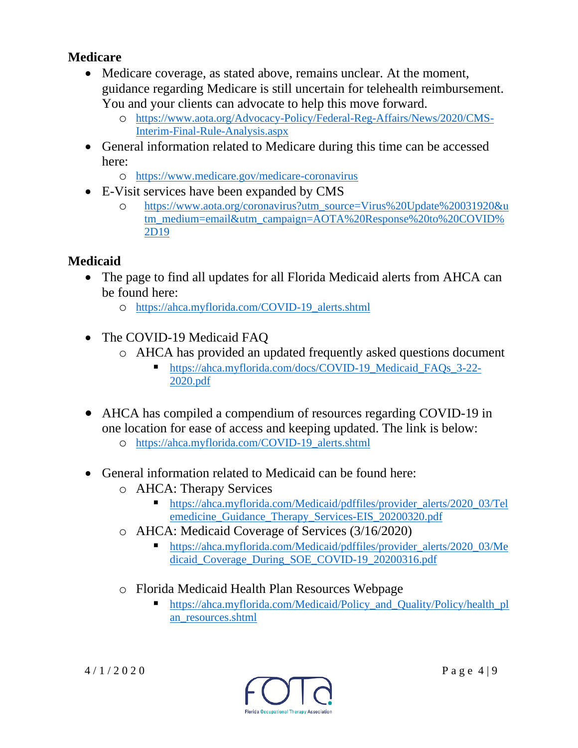#### **Medicare**

- Medicare coverage, as stated above, remains unclear. At the moment, guidance regarding Medicare is still uncertain for telehealth reimbursement. You and your clients can advocate to help this move forward.
	- o [https://www.aota.org/Advocacy-Policy/Federal-Reg-Affairs/News/2020/CMS-](https://www.aota.org/Advocacy-Policy/Federal-Reg-Affairs/News/2020/CMS-Interim-Final-Rule-Analysis.aspx)[Interim-Final-Rule-Analysis.aspx](https://www.aota.org/Advocacy-Policy/Federal-Reg-Affairs/News/2020/CMS-Interim-Final-Rule-Analysis.aspx)
- General information related to Medicare during this time can be accessed here:
	- o <https://www.medicare.gov/medicare-coronavirus>
- E-Visit services have been expanded by CMS
	- o [https://www.aota.org/coronavirus?utm\\_source=Virus%20Update%20031920&u](https://www.aota.org/coronavirus?utm_source=Virus%20Update%20031920&utm_medium=email&utm_campaign=AOTA%20Response%20to%20COVID%2D19) [tm\\_medium=email&utm\\_campaign=AOTA%20Response%20to%20COVID%](https://www.aota.org/coronavirus?utm_source=Virus%20Update%20031920&utm_medium=email&utm_campaign=AOTA%20Response%20to%20COVID%2D19) [2D19](https://www.aota.org/coronavirus?utm_source=Virus%20Update%20031920&utm_medium=email&utm_campaign=AOTA%20Response%20to%20COVID%2D19)

## **Medicaid**

- The page to find all updates for all Florida Medicaid alerts from AHCA can be found here:
	- o [https://ahca.myflorida.com/COVID-19\\_alerts.shtml](https://ahca.myflorida.com/covid-19_alerts.shtml)
- The COVID-19 Medicaid FAQ
	- o AHCA has provided an updated frequently asked questions document
		- [https://ahca.myflorida.com/docs/COVID-19\\_Medicaid\\_FAQs\\_3-22-](https://ahca.myflorida.com/docs/COVID-19_Medicaid_FAQs_3-22-2020.pdf) [2020.pdf](https://ahca.myflorida.com/docs/COVID-19_Medicaid_FAQs_3-22-2020.pdf)
- AHCA has compiled a compendium of resources regarding COVID-19 in one location for ease of access and keeping updated. The link is below:
	- o [https://ahca.myflorida.com/COVID-19\\_alerts.shtml](https://ahca.myflorida.com/covid-19_alerts.shtml)
- General information related to Medicaid can be found here:
	- o AHCA: Therapy Services
		- [https://ahca.myflorida.com/Medicaid/pdffiles/provider\\_alerts/2020\\_03/Tel](https://ahca.myflorida.com/Medicaid/pdffiles/provider_alerts/2020_03/Telemedicine_Guidance_Therapy_Services-EIS_20200320.pdf) [emedicine\\_Guidance\\_Therapy\\_Services-EIS\\_20200320.pdf](https://ahca.myflorida.com/Medicaid/pdffiles/provider_alerts/2020_03/Telemedicine_Guidance_Therapy_Services-EIS_20200320.pdf)
	- o AHCA: Medicaid Coverage of Services (3/16/2020)
		- [https://ahca.myflorida.com/Medicaid/pdffiles/provider\\_alerts/2020\\_03/Me](https://ahca.myflorida.com/Medicaid/pdffiles/provider_alerts/2020_03/Medicaid_Coverage_During_SOE_COVID-19_20200316.pdf) [dicaid\\_Coverage\\_During\\_SOE\\_COVID-19\\_20200316.pdf](https://ahca.myflorida.com/Medicaid/pdffiles/provider_alerts/2020_03/Medicaid_Coverage_During_SOE_COVID-19_20200316.pdf)
	- o Florida Medicaid Health Plan Resources Webpage
		- [https://ahca.myflorida.com/Medicaid/Policy\\_and\\_Quality/Policy/health\\_pl](https://ahca.myflorida.com/Medicaid/Policy_and_Quality/Policy/health_plan_resources.shtml) [an\\_resources.shtml](https://ahca.myflorida.com/Medicaid/Policy_and_Quality/Policy/health_plan_resources.shtml)

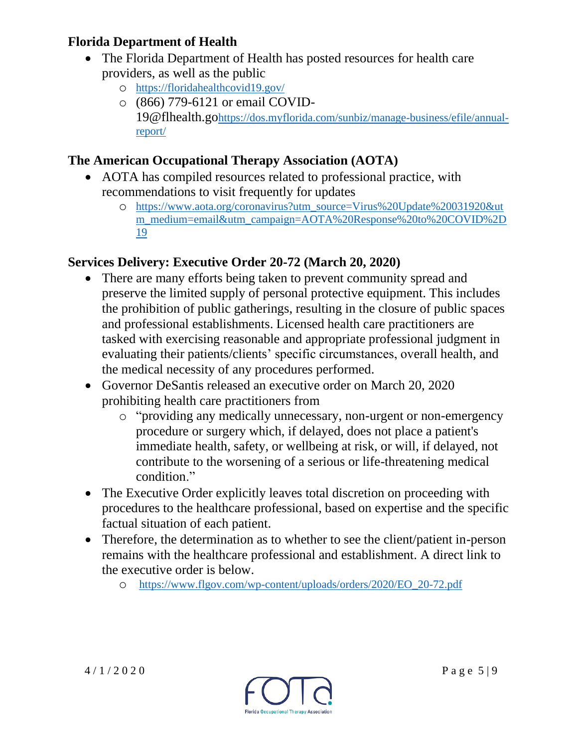## **Florida Department of Health**

- The Florida Department of Health has posted resources for health care providers, as well as the public
	- o <https://floridahealthcovid19.gov/>
	- o (866) 779-6121 or email COVID-19@flhealth.go[https://dos.myflorida.com/sunbiz/manage-business/efile/annual](https://dos.myflorida.com/sunbiz/manage-business/efile/annual-report/)[report/](https://dos.myflorida.com/sunbiz/manage-business/efile/annual-report/)

## **The American Occupational Therapy Association (AOTA)**

- AOTA has compiled resources related to professional practice, with recommendations to visit frequently for updates
	- o [https://www.aota.org/coronavirus?utm\\_source=Virus%20Update%20031920&ut](https://www.aota.org/coronavirus?utm_source=Virus%20Update%20031920&utm_medium=email&utm_campaign=AOTA%20Response%20to%20COVID%2D19) [m\\_medium=email&utm\\_campaign=AOTA%20Response%20to%20COVID%2D](https://www.aota.org/coronavirus?utm_source=Virus%20Update%20031920&utm_medium=email&utm_campaign=AOTA%20Response%20to%20COVID%2D19) [19](https://www.aota.org/coronavirus?utm_source=Virus%20Update%20031920&utm_medium=email&utm_campaign=AOTA%20Response%20to%20COVID%2D19)

## **Services Delivery: Executive Order 20-72 (March 20, 2020)**

- There are many efforts being taken to prevent community spread and preserve the limited supply of personal protective equipment. This includes the prohibition of public gatherings, resulting in the closure of public spaces and professional establishments. Licensed health care practitioners are tasked with exercising reasonable and appropriate professional judgment in evaluating their patients/clients' specific circumstances, overall health, and the medical necessity of any procedures performed.
- Governor DeSantis released an executive order on March 20, 2020 prohibiting health care practitioners from
	- o "providing any medically unnecessary, non-urgent or non-emergency procedure or surgery which, if delayed, does not place a patient's immediate health, safety, or wellbeing at risk, or will, if delayed, not contribute to the worsening of a serious or life-threatening medical condition."
- The Executive Order explicitly leaves total discretion on proceeding with procedures to the healthcare professional, based on expertise and the specific factual situation of each patient.
- Therefore, the determination as to whether to see the client/patient in-person remains with the healthcare professional and establishment. A direct link to the executive order is below.
	- o [https://www.flgov.com/wp-content/uploads/orders/2020/EO\\_20-72.pdf](https://www.flgov.com/wp-content/uploads/orders/2020/EO_20-72.pdf)

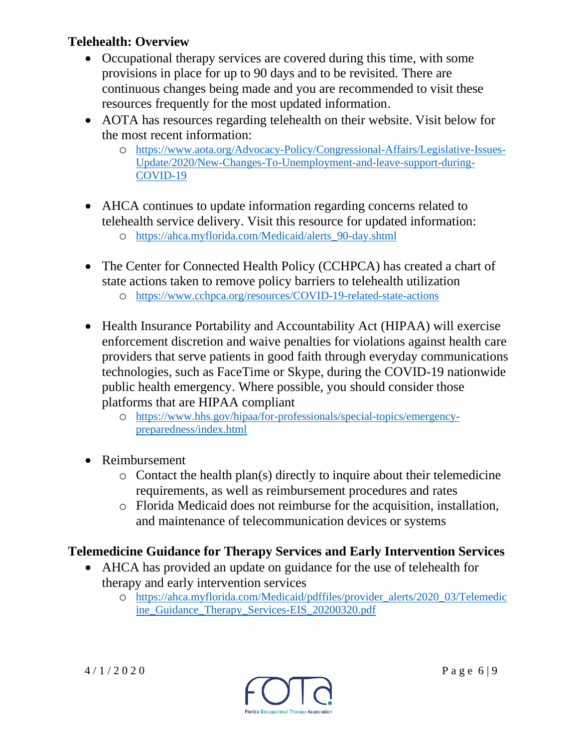#### **Telehealth: Overview**

- Occupational therapy services are covered during this time, with some provisions in place for up to 90 days and to be revisited. There are continuous changes being made and you are recommended to visit these resources frequently for the most updated information.
- AOTA has resources regarding telehealth on their website. Visit below for the most recent information:
	- o [https://www.aota.org/Advocacy-Policy/Congressional-Affairs/Legislative-Issues-](https://www.aota.org/Advocacy-Policy/Congressional-Affairs/Legislative-Issues-Update/2020/New-Changes-To-Unemployment-and-leave-support-during-COVID-19)[Update/2020/New-Changes-To-Unemployment-and-leave-support-during-](https://www.aota.org/Advocacy-Policy/Congressional-Affairs/Legislative-Issues-Update/2020/New-Changes-To-Unemployment-and-leave-support-during-COVID-19)[COVID-19](https://www.aota.org/Advocacy-Policy/Congressional-Affairs/Legislative-Issues-Update/2020/New-Changes-To-Unemployment-and-leave-support-during-COVID-19)
- AHCA continues to update information regarding concerns related to telehealth service delivery. Visit this resource for updated information: o [https://ahca.myflorida.com/Medicaid/alerts\\_90-day.shtml](https://ahca.myflorida.com/Medicaid/alerts_90-day.shtml)
- The Center for Connected Health Policy (CCHPCA) has created a chart of state actions taken to remove policy barriers to telehealth utilization
	- o [https://www.cchpca.org/resources/COVID-19-related-state-actions](https://www.cchpca.org/resources/covid-19-related-state-actions)
- Health Insurance Portability and Accountability Act (HIPAA) will exercise enforcement discretion and waive penalties for violations against health care providers that serve patients in good faith through everyday communications technologies, such as FaceTime or Skype, during the COVID-19 nationwide public health emergency. Where possible, you should consider those platforms that are HIPAA compliant
	- o [https://www.hhs.gov/hipaa/for-professionals/special-topics/emergency](https://www.hhs.gov/hipaa/for-professionals/special-topics/emergency-preparedness/index.html)[preparedness/index.html](https://www.hhs.gov/hipaa/for-professionals/special-topics/emergency-preparedness/index.html)
- Reimbursement
	- $\circ$  Contact the health plan(s) directly to inquire about their telemedicine requirements, as well as reimbursement procedures and rates
	- o Florida Medicaid does not reimburse for the acquisition, installation, and maintenance of telecommunication devices or systems

## **Telemedicine Guidance for Therapy Services and Early Intervention Services**

- AHCA has provided an update on guidance for the use of telehealth for therapy and early intervention services
	- o [https://ahca.myflorida.com/Medicaid/pdffiles/provider\\_alerts/2020\\_03/Telemedic](https://ahca.myflorida.com/Medicaid/pdffiles/provider_alerts/2020_03/Telemedicine_Guidance_Therapy_Services-EIS_20200320.pdf) [ine\\_Guidance\\_Therapy\\_Services-EIS\\_20200320.pdf](https://ahca.myflorida.com/Medicaid/pdffiles/provider_alerts/2020_03/Telemedicine_Guidance_Therapy_Services-EIS_20200320.pdf)

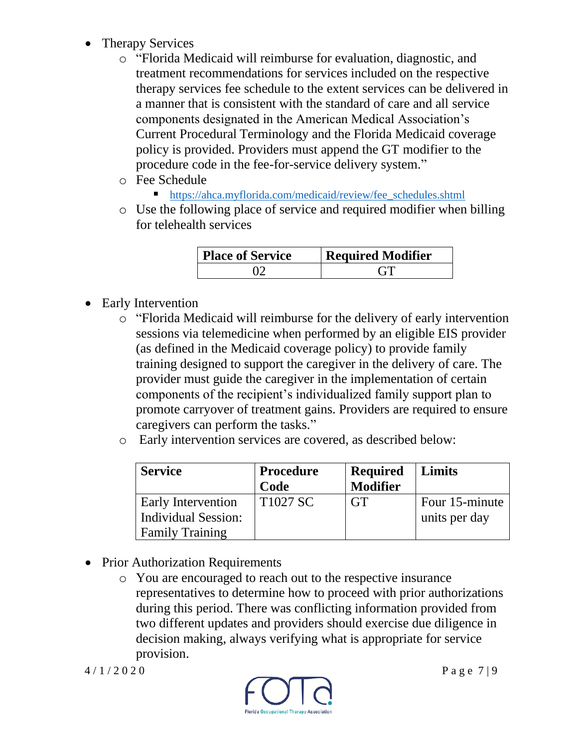- Therapy Services
	- o "Florida Medicaid will reimburse for evaluation, diagnostic, and treatment recommendations for services included on the respective therapy services fee schedule to the extent services can be delivered in a manner that is consistent with the standard of care and all service components designated in the American Medical Association's Current Procedural Terminology and the Florida Medicaid coverage policy is provided. Providers must append the GT modifier to the procedure code in the fee-for-service delivery system."
	- o Fee Schedule
		- [https://ahca.myflorida.com/medicaid/review/fee\\_schedules.shtml](https://ahca.myflorida.com/medicaid/review/fee_schedules.shtml)
	- o Use the following place of service and required modifier when billing for telehealth services

| <b>Place of Service</b> | <b>Required Modifier</b> |  |
|-------------------------|--------------------------|--|
|                         |                          |  |

- Early Intervention
	- o "Florida Medicaid will reimburse for the delivery of early intervention sessions via telemedicine when performed by an eligible EIS provider (as defined in the Medicaid coverage policy) to provide family training designed to support the caregiver in the delivery of care. The provider must guide the caregiver in the implementation of certain components of the recipient's individualized family support plan to promote carryover of treatment gains. Providers are required to ensure caregivers can perform the tasks."
	- o Early intervention services are covered, as described below:

| <b>Service</b>            | <b>Procedure</b><br>Code | <b>Required</b><br><b>Modifier</b> | Limits         |
|---------------------------|--------------------------|------------------------------------|----------------|
| <b>Early Intervention</b> | T <sub>1027</sub> SC     | <b>GT</b>                          | Four 15-minute |
| Individual Session:       |                          |                                    | units per day  |
| <b>Family Training</b>    |                          |                                    |                |

- Prior Authorization Requirements
	- o You are encouraged to reach out to the respective insurance representatives to determine how to proceed with prior authorizations during this period. There was conflicting information provided from two different updates and providers should exercise due diligence in decision making, always verifying what is appropriate for service provision.

 $4/1/2020$  Page 7|9

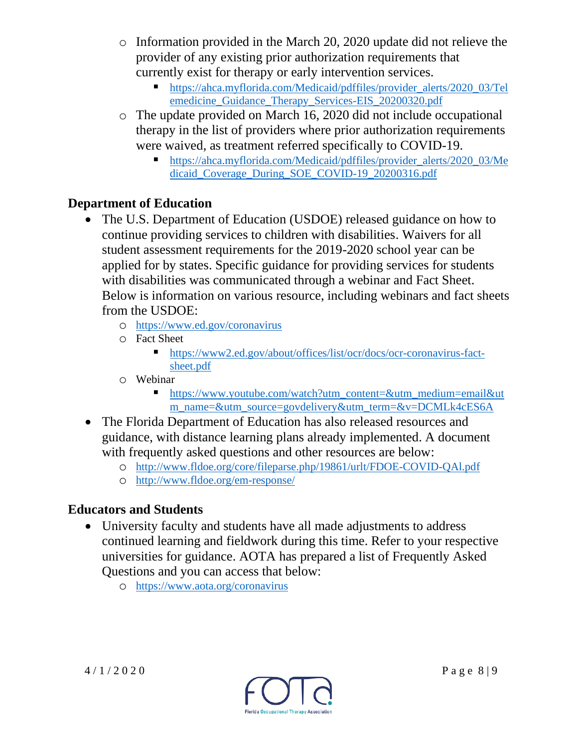- o Information provided in the March 20, 2020 update did not relieve the provider of any existing prior authorization requirements that currently exist for therapy or early intervention services.
	- [https://ahca.myflorida.com/Medicaid/pdffiles/provider\\_alerts/2020\\_03/Tel](https://ahca.myflorida.com/Medicaid/pdffiles/provider_alerts/2020_03/Telemedicine_Guidance_Therapy_Services-EIS_20200320.pdf) [emedicine\\_Guidance\\_Therapy\\_Services-EIS\\_20200320.pdf](https://ahca.myflorida.com/Medicaid/pdffiles/provider_alerts/2020_03/Telemedicine_Guidance_Therapy_Services-EIS_20200320.pdf)
- o The update provided on March 16, 2020 did not include occupational therapy in the list of providers where prior authorization requirements were waived, as treatment referred specifically to COVID-19.
	- [https://ahca.myflorida.com/Medicaid/pdffiles/provider\\_alerts/2020\\_03/Me](https://ahca.myflorida.com/Medicaid/pdffiles/provider_alerts/2020_03/Medicaid_Coverage_During_SOE_COVID-19_20200316.pdf) [dicaid\\_Coverage\\_During\\_SOE\\_COVID-19\\_20200316.pdf](https://ahca.myflorida.com/Medicaid/pdffiles/provider_alerts/2020_03/Medicaid_Coverage_During_SOE_COVID-19_20200316.pdf)

## **Department of Education**

- The U.S. Department of Education (USDOE) released guidance on how to continue providing services to children with disabilities. Waivers for all student assessment requirements for the 2019-2020 school year can be applied for by states. Specific guidance for providing services for students with disabilities was communicated through a webinar and Fact Sheet. Below is information on various resource, including webinars and fact sheets from the USDOE:
	- o <https://www.ed.gov/coronavirus>
	- o Fact Sheet
		- [https://www2.ed.gov/about/offices/list/ocr/docs/ocr-coronavirus-fact](https://www2.ed.gov/about/offices/list/ocr/docs/ocr-coronavirus-fact-sheet.pdf)[sheet.pdf](https://www2.ed.gov/about/offices/list/ocr/docs/ocr-coronavirus-fact-sheet.pdf)
	- o Webinar
		- [https://www.youtube.com/watch?utm\\_content=&utm\\_medium=email&ut](https://www.youtube.com/watch?utm_content=&utm_medium=email&utm_name=&utm_source=govdelivery&utm_term=&v=DCMLk4cES6A) [m\\_name=&utm\\_source=govdelivery&utm\\_term=&v=DCMLk4cES6A](https://www.youtube.com/watch?utm_content=&utm_medium=email&utm_name=&utm_source=govdelivery&utm_term=&v=DCMLk4cES6A)
- The Florida Department of Education has also released resources and guidance, with distance learning plans already implemented. A document with frequently asked questions and other resources are below:
	- o <http://www.fldoe.org/core/fileparse.php/19861/urlt/FDOE-COVID-QAl.pdf>
	- o <http://www.fldoe.org/em-response/>

# **Educators and Students**

- University faculty and students have all made adjustments to address continued learning and fieldwork during this time. Refer to your respective universities for guidance. AOTA has prepared a list of Frequently Asked Questions and you can access that below:
	- o <https://www.aota.org/coronavirus>